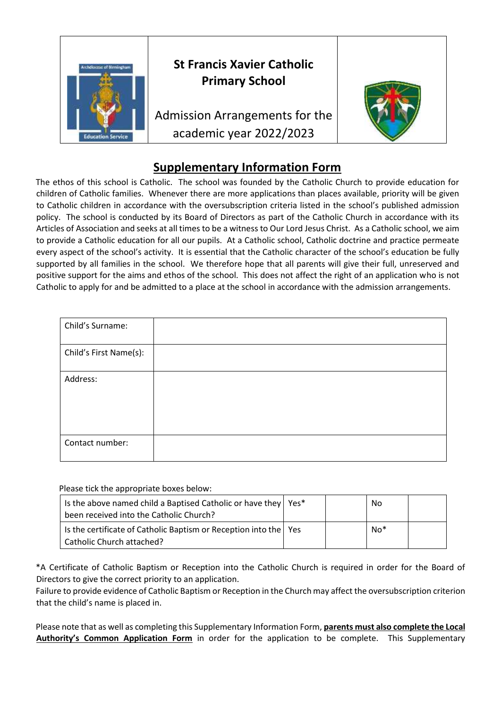

## **St Francis Xavier Catholic Primary School**

Admission Arrangements for the academic year 2022/2023



## **Supplementary Information Form**

The ethos of this school is Catholic. The school was founded by the Catholic Church to provide education for children of Catholic families. Whenever there are more applications than places available, priority will be given to Catholic children in accordance with the oversubscription criteria listed in the school's published admission policy. The school is conducted by its Board of Directors as part of the Catholic Church in accordance with its Articles of Association and seeks at all times to be a witness to Our Lord Jesus Christ. As a Catholic school, we aim to provide a Catholic education for all our pupils. At a Catholic school, Catholic doctrine and practice permeate every aspect of the school's activity. It is essential that the Catholic character of the school's education be fully supported by all families in the school. We therefore hope that all parents will give their full, unreserved and positive support for the aims and ethos of the school. This does not affect the right of an application who is not Catholic to apply for and be admitted to a place at the school in accordance with the admission arrangements.

| Child's Surname:       |  |
|------------------------|--|
| Child's First Name(s): |  |
| Address:               |  |
| Contact number:        |  |

Please tick the appropriate boxes below:

| Is the above named child a Baptised Catholic or have they   Yes*<br>been received into the Catholic Church? |  | No  |  |
|-------------------------------------------------------------------------------------------------------------|--|-----|--|
| Is the certificate of Catholic Baptism or Reception into the   Yes<br>  Catholic Church attached?           |  | No* |  |

\*A Certificate of Catholic Baptism or Reception into the Catholic Church is required in order for the Board of Directors to give the correct priority to an application.

Failure to provide evidence of Catholic Baptism or Reception in the Church may affect the oversubscription criterion that the child's name is placed in.

Please note that as well as completing this Supplementary Information Form, **parents must also complete the Local Authority's Common Application Form** in order for the application to be complete. This Supplementary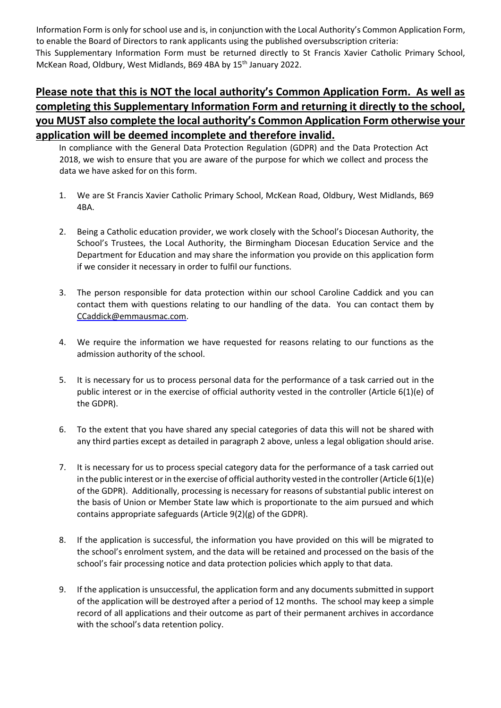Information Form is only for school use and is, in conjunction with the Local Authority's Common Application Form, to enable the Board of Directors to rank applicants using the published oversubscription criteria: This Supplementary Information Form must be returned directly to St Francis Xavier Catholic Primary School, McKean Road, Oldbury, West Midlands, B69 4BA by 15<sup>th</sup> January 2022.

## **Please note that this is NOT the local authority's Common Application Form. As well as completing this Supplementary Information Form and returning it directly to the school, you MUST also complete the local authority's Common Application Form otherwise your application will be deemed incomplete and therefore invalid.**

In compliance with the General Data Protection Regulation (GDPR) and the Data Protection Act 2018, we wish to ensure that you are aware of the purpose for which we collect and process the data we have asked for on this form.

- 1. We are St Francis Xavier Catholic Primary School, McKean Road, Oldbury, West Midlands, B69 4BA.
- 2. Being a Catholic education provider, we work closely with the School's Diocesan Authority, the School's Trustees, the Local Authority, the Birmingham Diocesan Education Service and the Department for Education and may share the information you provide on this application form if we consider it necessary in order to fulfil our functions.
- 3. The person responsible for data protection within our school Caroline Caddick and you can contact them with questions relating to our handling of the data. You can contact them by CCaddick@emmausmac.com.
- 4. We require the information we have requested for reasons relating to our functions as the admission authority of the school.
- 5. It is necessary for us to process personal data for the performance of a task carried out in the public interest or in the exercise of official authority vested in the controller (Article 6(1)(e) of the GDPR).
- 6. To the extent that you have shared any special categories of data this will not be shared with any third parties except as detailed in paragraph 2 above, unless a legal obligation should arise.
- 7. It is necessary for us to process special category data for the performance of a task carried out in the public interest or in the exercise of official authority vested in the controller (Article 6(1)(e) of the GDPR). Additionally, processing is necessary for reasons of substantial public interest on the basis of Union or Member State law which is proportionate to the aim pursued and which contains appropriate safeguards (Article 9(2)(g) of the GDPR).
- 8. If the application is successful, the information you have provided on this will be migrated to the school's enrolment system, and the data will be retained and processed on the basis of the school's fair processing notice and data protection policies which apply to that data.
- 9. If the application is unsuccessful, the application form and any documents submitted in support of the application will be destroyed after a period of 12 months. The school may keep a simple record of all applications and their outcome as part of their permanent archives in accordance with the school's data retention policy.